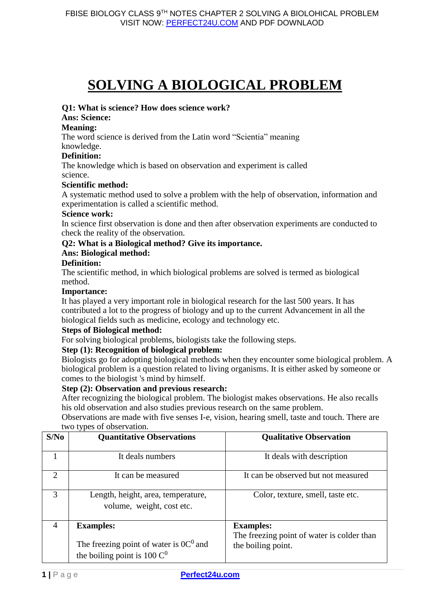# **SOLVING A BIOLOGICAL PROBLEM**

#### **Q1: What is science? How does science work?**

# **Ans: Science:**

#### **Meaning:**

The word science is derived from the Latin word "Scientia" meaning

knowledge.

# **Definition:**

The knowledge which is based on observation and experiment is called science.

### **Scientific method:**

A systematic method used to solve a problem with the help of observation, information and experimentation is called a scientific method.

#### **Science work:**

In science first observation is done and then after observation experiments are conducted to check the reality of the observation.

## **Q2: What is a Biological method? Give its importance.**

### **Ans: Biological method:**

### **Definition:**

The scientific method, in which biological problems are solved is termed as biological method.

#### **Importance:**

It has played a very important role in biological research for the last 500 years. It has contributed a lot to the progress of biology and up to the current Advancement in all the biological fields such as medicine, ecology and technology etc.

#### **Steps of Biological method:**

For solving biological problems, biologists take the following steps.

## **Step (1): Recognition of biological problem:**

Biologists go for adopting biological methods when they encounter some biological problem. A biological problem is a question related to living organisms. It is either asked by someone or comes to the biologist 's mind by himself.

#### **Step (2): Observation and previous research:**

After recognizing the biological problem. The biologist makes observations. He also recalls his old observation and also studies previous research on the same problem.

Observations are made with five senses I-e, vision, hearing smell, taste and touch. There are two types of observation.

| S/No                        | . .<br><b>Quantitative Observations</b>                                                         | <b>Qualitative Observation</b>                                                       |
|-----------------------------|-------------------------------------------------------------------------------------------------|--------------------------------------------------------------------------------------|
|                             | It deals numbers                                                                                | It deals with description                                                            |
| $\mathcal{D}_{\mathcal{L}}$ | It can be measured                                                                              | It can be observed but not measured                                                  |
| 3                           | Length, height, area, temperature,<br>volume, weight, cost etc.                                 | Color, texture, smell, taste etc.                                                    |
| $\overline{4}$              | <b>Examples:</b><br>The freezing point of water is $0C^0$ and<br>the boiling point is 100 $C^0$ | <b>Examples:</b><br>The freezing point of water is colder than<br>the boiling point. |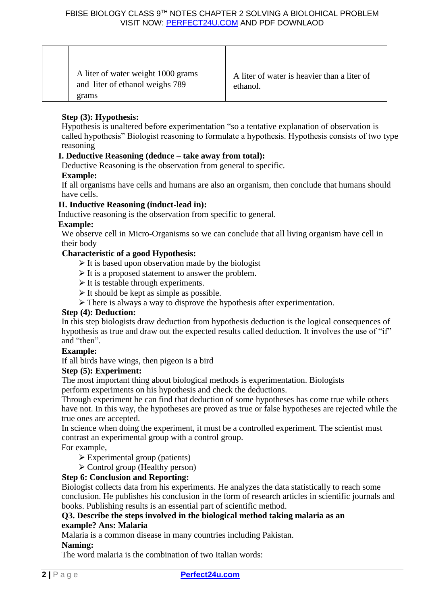|  | A liter of water weight 1000 grams<br>and liter of ethanol weighs 789<br>grams | A liter of water is heavier than a liter of<br>ethanol. |
|--|--------------------------------------------------------------------------------|---------------------------------------------------------|
|--|--------------------------------------------------------------------------------|---------------------------------------------------------|

# **Step (3): Hypothesis:**

Hypothesis is unaltered before experimentation "so a tentative explanation of observation is called hypothesis" Biologist reasoning to formulate a hypothesis. Hypothesis consists of two type reasoning

# **I. Deductive Reasoning (deduce – take away from total):**

Deductive Reasoning is the observation from general to specific.

## **Example:**

If all organisms have cells and humans are also an organism, then conclude that humans should have cells.

## **II. Inductive Reasoning (induct-lead in):**

Inductive reasoning is the observation from specific to general.

### **Example:**

We observe cell in Micro-Organisms so we can conclude that all living organism have cell in their body

### **Characteristic of a good Hypothesis:**

- $\triangleright$  It is based upon observation made by the biologist
- $\triangleright$  It is a proposed statement to answer the problem.
- $\triangleright$  It is testable through experiments.
- $\triangleright$  It should be kept as simple as possible.
- $\triangleright$  There is always a way to disprove the hypothesis after experimentation.

#### **Step (4): Deduction:**

In this step biologists draw deduction from hypothesis deduction is the logical consequences of hypothesis as true and draw out the expected results called deduction. It involves the use of "if" and "then".

## **Example:**

If all birds have wings, then pigeon is a bird

### **Step (5): Experiment:**

The most important thing about biological methods is experimentation. Biologists

perform experiments on his hypothesis and check the deductions.

Through experiment he can find that deduction of some hypotheses has come true while others have not. In this way, the hypotheses are proved as true or false hypotheses are rejected while the true ones are accepted.

In science when doing the experiment, it must be a controlled experiment. The scientist must contrast an experimental group with a control group.

For example,

- $\triangleright$  Experimental group (patients)
- ⮚ Control group (Healthy person)

# **Step 6: Conclusion and Reporting:**

Biologist collects data from his experiments. He analyzes the data statistically to reach some conclusion. He publishes his conclusion in the form of research articles in scientific journals and books. Publishing results is an essential part of scientific method.

### **Q3. Describe the steps involved in the biological method taking malaria as an example? Ans: Malaria**

Malaria is a common disease in many countries including Pakistan.

#### **Naming:**

The word malaria is the combination of two Italian words: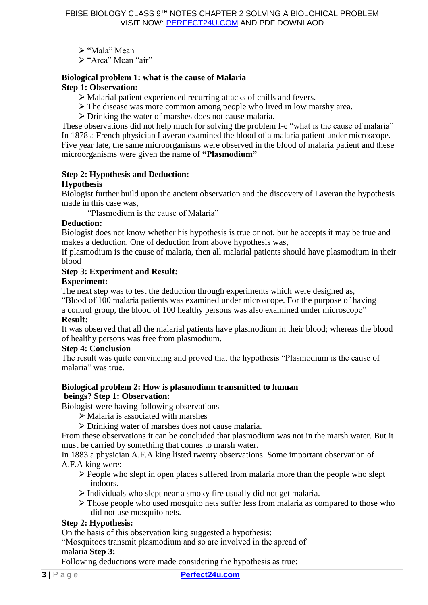≻ "Mala" Mean

≻ "Area" Mean "air"

#### **Biological problem 1: what is the cause of Malaria Step 1: Observation:**

- ⮚ Malarial patient experienced recurring attacks of chills and fevers.
- $\triangleright$  The disease was more common among people who lived in low marshy area.
- $\triangleright$  Drinking the water of marshes does not cause malaria.

These observations did not help much for solving the problem I-e "what is the cause of malaria" In 1878 a French physician Laveran examined the blood of a malaria patient under microscope. Five year late, the same microorganisms were observed in the blood of malaria patient and these microorganisms were given the name of **"Plasmodium"** 

### **Step 2: Hypothesis and Deduction:**

### **Hypothesis**

Biologist further build upon the ancient observation and the discovery of Laveran the hypothesis made in this case was,

"Plasmodium is the cause of Malaria"

### **Deduction:**

Biologist does not know whether his hypothesis is true or not, but he accepts it may be true and makes a deduction. One of deduction from above hypothesis was,

If plasmodium is the cause of malaria, then all malarial patients should have plasmodium in their blood

### **Step 3: Experiment and Result:**

### **Experiment:**

The next step was to test the deduction through experiments which were designed as,

"Blood of 100 malaria patients was examined under microscope. For the purpose of having a control group, the blood of 100 healthy persons was also examined under microscope"

### **Result:**

It was observed that all the malarial patients have plasmodium in their blood; whereas the blood of healthy persons was free from plasmodium.

#### **Step 4: Conclusion**

The result was quite convincing and proved that the hypothesis "Plasmodium is the cause of malaria" was true.

### **Biological problem 2: How is plasmodium transmitted to human beings? Step 1: Observation:**

Biologist were having following observations

- $\triangleright$  Malaria is associated with marshes
- ⮚ Drinking water of marshes does not cause malaria.

From these observations it can be concluded that plasmodium was not in the marsh water. But it must be carried by something that comes to marsh water.

In 1883 a physician A.F.A king listed twenty observations. Some important observation of A.F.A king were:

- $\triangleright$  People who slept in open places suffered from malaria more than the people who slept indoors.
- $\triangleright$  Individuals who slept near a smoky fire usually did not get malaria.
- $\triangleright$  Those people who used mosquito nets suffer less from malaria as compared to those who did not use mosquito nets.

## **Step 2: Hypothesis:**

On the basis of this observation king suggested a hypothesis:

"Mosquitoes transmit plasmodium and so are involved in the spread of malaria **Step 3:** 

Following deductions were made considering the hypothesis as true: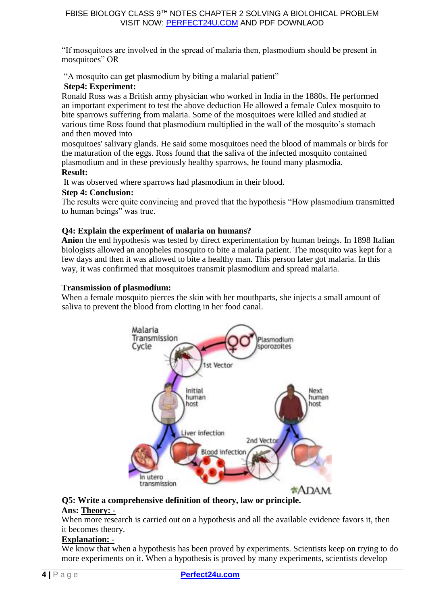"If mosquitoes are involved in the spread of malaria then, plasmodium should be present in mosquitoes" OR

"A mosquito can get plasmodium by biting a malarial patient"

# **Step4: Experiment:**

Ronald Ross was a British army physician who worked in India in the 1880s. He performed an important experiment to test the above deduction He allowed a female Culex mosquito to bite sparrows suffering from malaria. Some of the mosquitoes were killed and studied at various time Ross found that plasmodium multiplied in the wall of the mosquito's stomach and then moved into

mosquitoes' salivary glands. He said some mosquitoes need the blood of mammals or birds for the maturation of the eggs. Ross found that the saliva of the infected mosquito contained plasmodium and in these previously healthy sparrows, he found many plasmodia. **Result:** 

It was observed where sparrows had plasmodium in their blood.

# **Step 4: Conclusion:**

The results were quite convincing and proved that the hypothesis "How plasmodium transmitted to human beings" was true.

# **Q4: Explain the experiment of malaria on humans?**

**Anio**n the end hypothesis was tested by direct experimentation by human beings. In 1898 Italian biologists allowed an anopheles mosquito to bite a malaria patient. The mosquito was kept for a few days and then it was allowed to bite a healthy man. This person later got malaria. In this way, it was confirmed that mosquitoes transmit plasmodium and spread malaria.

## **Transmission of plasmodium:**

When a female mosquito pierces the skin with her mouthparts, she injects a small amount of saliva to prevent the blood from clotting in her food canal.



#### **Q5: Write a comprehensive definition of theory, law or principle. Ans: Theory: -**

When more research is carried out on a hypothesis and all the available evidence favors it, then it becomes theory.

## **Explanation: -**

We know that when a hypothesis has been proved by experiments. Scientists keep on trying to do more experiments on it. When a hypothesis is proved by many experiments, scientists develop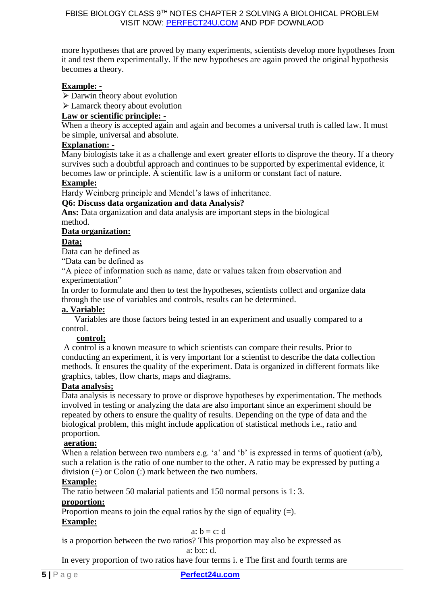more hypotheses that are proved by many experiments, scientists develop more hypotheses from it and test them experimentally. If the new hypotheses are again proved the original hypothesis becomes a theory.

# **Example: -**

 $\triangleright$  Darwin theory about evolution

 $\geq$  Lamarck theory about evolution

# **Law or scientific principle: -**

When a theory is accepted again and again and becomes a universal truth is called law. It must be simple, universal and absolute.

### **Explanation: -**

Many biologists take it as a challenge and exert greater efforts to disprove the theory. If a theory survives such a doubtful approach and continues to be supported by experimental evidence, it becomes law or principle. A scientific law is a uniform or constant fact of nature.

### **Example:**

Hardy Weinberg principle and Mendel's laws of inheritance.

#### **Q6: Discuss data organization and data Analysis?**

**Ans:** Data organization and data analysis are important steps in the biological method.

### **Data organization:**

### **Data;**

Data can be defined as

"Data can be defined as

"A piece of information such as name, date or values taken from observation and experimentation"

In order to formulate and then to test the hypotheses, scientists collect and organize data through the use of variables and controls, results can be determined.

## **a. Variable:**

Variables are those factors being tested in an experiment and usually compared to a control.

#### **control;**

A control is a known measure to which scientists can compare their results. Prior to conducting an experiment, it is very important for a scientist to describe the data collection methods. It ensures the quality of the experiment. Data is organized in different formats like graphics, tables, flow charts, maps and diagrams.

#### **Data analysis;**

Data analysis is necessary to prove or disprove hypotheses by experimentation. The methods involved in testing or analyzing the data are also important since an experiment should be repeated by others to ensure the quality of results. Depending on the type of data and the biological problem, this might include application of statistical methods i.e., ratio and proportion.

#### **aeration:**

When a relation between two numbers e.g. 'a' and 'b' is expressed in terms of quotient (a/b), such a relation is the ratio of one number to the other. A ratio may be expressed by putting a division  $(\div)$  or Colon  $(\cdot)$  mark between the two numbers.

### **Example:**

The ratio between 50 malarial patients and 150 normal persons is 1: 3.

#### **proportion:**

Proportion means to join the equal ratios by the sign of equality  $(=)$ . **Example:**

#### a:  $b = c$ : d

is a proportion between the two ratios? This proportion may also be expressed as a: b:c: d.

In every proportion of two ratios have four terms i. e The first and fourth terms are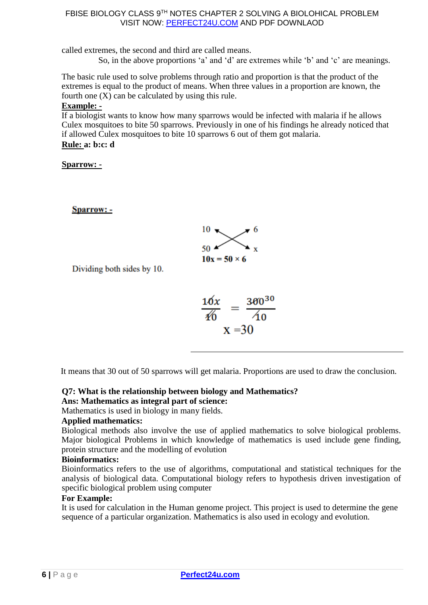called extremes, the second and third are called means.

So, in the above proportions 'a' and 'd' are extremes while 'b' and 'c' are meanings.

The basic rule used to solve problems through ratio and proportion is that the product of the extremes is equal to the product of means. When three values in a proportion are known, the fourth one  $(X)$  can be calculated by using this rule.

### **Example: -**

If a biologist wants to know how many sparrows would be infected with malaria if he allows Culex mosquitoes to bite 50 sparrows. Previously in one of his findings he already noticed that if allowed Culex mosquitoes to bite 10 sparrows 6 out of them got malaria.

# **Rule: a: b:c: d**

# **Sparrow: -**

**Sparrow: -**



Dividing both sides by 10.

$$
\frac{16x}{40} = \frac{360^{30}}{40}
$$
  
x = 30

It means that 30 out of 50 sparrows will get malaria. Proportions are used to draw the conclusion.

# **Q7: What is the relationship between biology and Mathematics?**

#### **Ans: Mathematics as integral part of science:**

Mathematics is used in biology in many fields.

## **Applied mathematics:**

Biological methods also involve the use of applied mathematics to solve biological problems. Major biological Problems in which knowledge of mathematics is used include gene finding, protein structure and the modelling of evolution

## **Bioinformatics:**

Bioinformatics refers to the use of algorithms, computational and statistical techniques for the analysis of biological data. Computational biology refers to hypothesis driven investigation of specific biological problem using computer

## **For Example:**

It is used for calculation in the Human genome project. This project is used to determine the gene sequence of a particular organization. Mathematics is also used in ecology and evolution.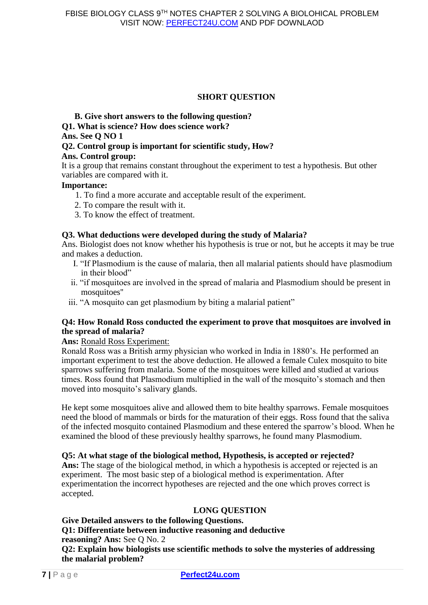# **SHORT QUESTION**

### **B. Give short answers to the following question?**

**Q1. What is science? How does science work?** 

### **Ans. See Q NO 1**

# **Q2. Control group is important for scientific study, How?**

## **Ans. Control group:**

It is a group that remains constant throughout the experiment to test a hypothesis. But other variables are compared with it.

## **Importance:**

- 1. To find a more accurate and acceptable result of the experiment.
- 2. To compare the result with it.
- 3. To know the effect of treatment.

# **Q3. What deductions were developed during the study of Malaria?**

Ans. Biologist does not know whether his hypothesis is true or not, but he accepts it may be true and makes a deduction.

- I. "If Plasmodium is the cause of malaria, then all malarial patients should have plasmodium in their blood"
- ii. "if mosquitoes are involved in the spread of malaria and Plasmodium should be present in mosquitoes''
- iii. "A mosquito can get plasmodium by biting a malarial patient"

## **Q4: How Ronald Ross conducted the experiment to prove that mosquitoes are involved in the spread of malaria?**

## **Ans:** Ronald Ross Experiment:

Ronald Ross was a British army physician who worked in India in 1880's. He performed an important experiment to test the above deduction. He allowed a female Culex mosquito to bite sparrows suffering from malaria. Some of the mosquitoes were killed and studied at various times. Ross found that Plasmodium multiplied in the wall of the mosquito's stomach and then moved into mosquito's salivary glands.

He kept some mosquitoes alive and allowed them to bite healthy sparrows. Female mosquitoes need the blood of mammals or birds for the maturation of their eggs. Ross found that the saliva of the infected mosquito contained Plasmodium and these entered the sparrow's blood. When he examined the blood of these previously healthy sparrows, he found many Plasmodium.

## **Q5: At what stage of the biological method, Hypothesis, is accepted or rejected?**

**Ans:** The stage of the biological method, in which a hypothesis is accepted or rejected is an experiment. The most basic step of a biological method is experimentation. After experimentation the incorrect hypotheses are rejected and the one which proves correct is accepted.

# **LONG QUESTION**

# **Give Detailed answers to the following Questions.**

**Q1: Differentiate between inductive reasoning and deductive** 

**reasoning? Ans:** See Q No. 2

**Q2: Explain how biologists use scientific methods to solve the mysteries of addressing the malarial problem?**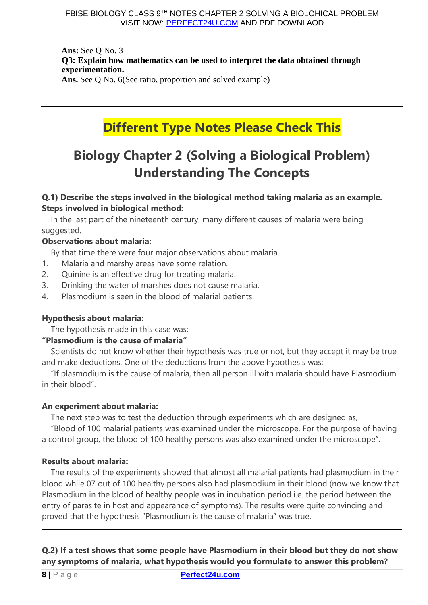**Ans:** See Q No. 3 **Q3: Explain how mathematics can be used to interpret the data obtained through experimentation. Ans.** See Q No. 6(See ratio, proportion and solved example)

# **Different Type Notes Please Check This**

# **Biology Chapter 2 (Solving a Biological Problem) Understanding The Concepts**

# **Q.1) Describe the steps involved in the biological method taking malaria as an example. Steps involved in biological method:**

In the last part of the nineteenth century, many different causes of malaria were being suggested.

# **Observations about malaria:**

By that time there were four major observations about malaria.

- 1. Malaria and marshy areas have some relation.
- 2. Quinine is an effective drug for treating malaria.
- 3. Drinking the water of marshes does not cause malaria.
- 4. Plasmodium is seen in the blood of malarial patients.

# **Hypothesis about malaria:**

The hypothesis made in this case was;

# **"Plasmodium is the cause of malaria"**

Scientists do not know whether their hypothesis was true or not, but they accept it may be true and make deductions. One of the deductions from the above hypothesis was;

"If plasmodium is the cause of malaria, then all person ill with malaria should have Plasmodium in their blood".

## **An experiment about malaria:**

The next step was to test the deduction through experiments which are designed as,

"Blood of 100 malarial patients was examined under the microscope. For the purpose of having a control group, the blood of 100 healthy persons was also examined under the microscope".

# **Results about malaria:**

The results of the experiments showed that almost all malarial patients had plasmodium in their blood while 07 out of 100 healthy persons also had plasmodium in their blood (now we know that Plasmodium in the blood of healthy people was in incubation period i.e. the period between the entry of parasite in host and appearance of symptoms). The results were quite convincing and proved that the hypothesis "Plasmodium is the cause of malaria" was true.

**Q.2) If a test shows that some people have Plasmodium in their blood but they do not show any symptoms of malaria, what hypothesis would you formulate to answer this problem?**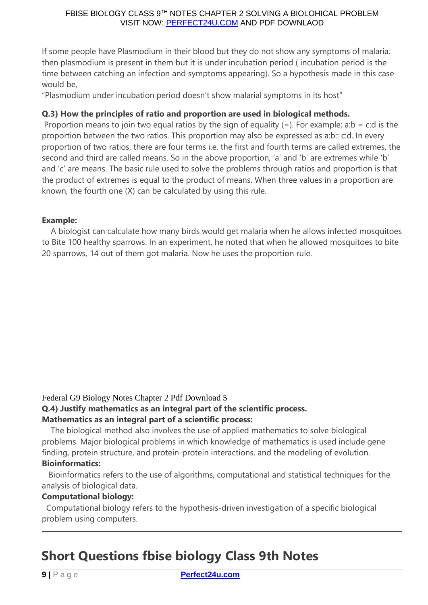If some people have Plasmodium in their blood but they do not show any symptoms of malaria, then plasmodium is present in them but it is under incubation period ( incubation period is the time between catching an infection and symptoms appearing). So a hypothesis made in this case would be,

"Plasmodium under incubation period doesn't show malarial symptoms in its host"

# **Q.3) How the principles of ratio and proportion are used in biological methods.**

Proportion means to join two equal ratios by the sign of equality  $(=)$ . For example; a:b = c:d is the proportion between the two ratios. This proportion may also be expressed as a:b:: c:d. In every proportion of two ratios, there are four terms i.e. the first and fourth terms are called extremes, the second and third are called means. So in the above proportion, 'a' and 'b' are extremes while 'b' and 'c' are means. The basic rule used to solve the problems through ratios and proportion is that the product of extremes is equal to the product of means. When three values in a proportion are known, the fourth one (X) can be calculated by using this rule.

# **Example:**

A biologist can calculate how many birds would get malaria when he allows infected mosquitoes to Bite 100 healthy sparrows. In an experiment, he noted that when he allowed mosquitoes to bite 20 sparrows, 14 out of them got malaria. Now he uses the proportion rule.

Federal G9 Biology Notes Chapter 2 Pdf Download 5

# **Q.4) Justify mathematics as an integral part of the scientific process.**

# **Mathematics as an integral part of a scientific process:**

The biological method also involves the use of applied mathematics to solve biological problems. Major biological problems in which knowledge of mathematics is used include gene finding, protein structure, and protein-protein interactions, and the modeling of evolution. **Bioinformatics:**

Bioinformatics refers to the use of algorithms, computational and statistical techniques for the analysis of biological data.

# **Computational biology:**

Computational biology refers to the hypothesis-driven investigation of a specific biological problem using computers.

# **Short Questions fbise biology Class 9th Notes**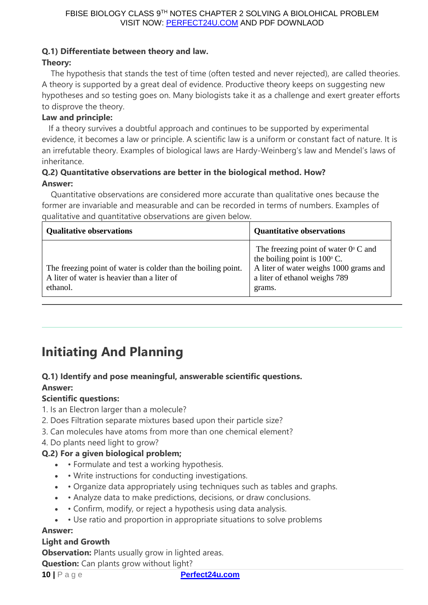# **Q.1) Differentiate between theory and law.**

# **Theory:**

The hypothesis that stands the test of time (often tested and never rejected), are called theories. A theory is supported by a great deal of evidence. Productive theory keeps on suggesting new hypotheses and so testing goes on. Many biologists take it as a challenge and exert greater efforts to disprove the theory.

# **Law and principle:**

If a theory survives a doubtful approach and continues to be supported by experimental evidence, it becomes a law or principle. A scientific law is a uniform or constant fact of nature. It is an irrefutable theory. Examples of biological laws are Hardy-Weinberg's law and Mendel's laws of inheritance.

# **Q.2) Quantitative observations are better in the biological method. How? Answer:**

Quantitative observations are considered more accurate than qualitative ones because the former are invariable and measurable and can be recorded in terms of numbers. Examples of qualitative and quantitative observations are given below.

| <b>Qualitative observations</b>                                                                                          | <b>Quantitative observations</b>                                                                                                                                            |
|--------------------------------------------------------------------------------------------------------------------------|-----------------------------------------------------------------------------------------------------------------------------------------------------------------------------|
| The freezing point of water is colder than the boiling point.<br>A liter of water is heavier than a liter of<br>ethanol. | The freezing point of water $0^{\circ}$ C and<br>the boiling point is $100^{\circ}$ C.<br>A liter of water weighs 1000 grams and<br>a liter of ethanol weighs 789<br>grams. |

# **Initiating And Planning**

# **Q.1) Identify and pose meaningful, answerable scientific questions. Answer:**

# **Scientific questions:**

- 1. Is an Electron larger than a molecule?
- 2. Does Filtration separate mixtures based upon their particle size?
- 3. Can molecules have atoms from more than one chemical element?
- 4. Do plants need light to grow?

# **Q.2) For a given biological problem;**

- • Formulate and test a working hypothesis.
- • Write instructions for conducting investigations.
- • Organize data appropriately using techniques such as tables and graphs.
- • Analyze data to make predictions, decisions, or draw conclusions.
- Confirm, modify, or reject a hypothesis using data analysis.
- Use ratio and proportion in appropriate situations to solve problems

## **Answer:**

## **Light and Growth**

**Observation:** Plants usually grow in lighted areas.

**Question:** Can plants grow without light?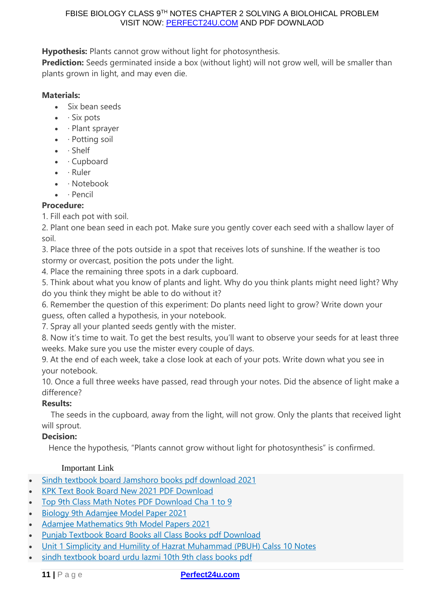**Hypothesis:** Plants cannot grow without light for photosynthesis.

**Prediction:** Seeds germinated inside a box (without light) will not grow well, will be smaller than plants grown in light, and may even die.

# **Materials:**

- Six bean seeds
- $\bullet$  · Six pots
- · Plant sprayer
- · Potting soil
- · Shelf
- Cupboard
- $\bullet$  · Ruler
- · Notebook
- · Pencil

# **Procedure:**

1. Fill each pot with soil.

2. Plant one bean seed in each pot. Make sure you gently cover each seed with a shallow layer of soil.

3. Place three of the pots outside in a spot that receives lots of sunshine. If the weather is too stormy or overcast, position the pots under the light.

4. Place the remaining three spots in a dark cupboard.

5. Think about what you know of plants and light. Why do you think plants might need light? Why do you think they might be able to do without it?

6. Remember the question of this experiment: Do plants need light to grow? Write down your guess, often called a hypothesis, in your notebook.

7. Spray all your planted seeds gently with the mister.

8. Now it's time to wait. To get the best results, you'll want to observe your seeds for at least three weeks. Make sure you use the mister every couple of days.

9. At the end of each week, take a close look at each of your pots. Write down what you see in your notebook.

10. Once a full three weeks have passed, read through your notes. Did the absence of light make a difference?

# **Results:**

The seeds in the cupboard, away from the light, will not grow. Only the plants that received light will sprout.

# **Decision:**

Hence the hypothesis, "Plants cannot grow without light for photosynthesis" is confirmed.

# Important Link

- Sindh textbook board Jamshoro books pdf [download](https://www.perfect24u.com/sindh-textbook-board-jamshoro/) 2021
- KPK Text Book Board New 2021 PDF [Download](https://www.perfect24u.com/kpk-text-book-board-new-2021-pdf-download/)
- Top 9th Class Math Notes PDF [Download](https://www.perfect24u.com/9th-class-math-notes-pdf-download-cha-1-to-9/) Cha 1 to 9
- Biology 9th [Adamjee](https://www.perfect24u.com/biology-9th-adamjee-model-paper-2021/) Model Paper 2021
- Adamjee [Mathematics](https://www.perfect24u.com/adamjee-mathematics-9th-model-papers-2021/) 9th Model Papers 2021
- Punjab Textbook Board Books all Class Books pdf [Download](https://www.perfect24u.com/punjab-textbook-board-books-all-class-books-pdf-download/)
- Unit 1 Simplicity and Humility of Hazrat [Muhammad](https://www.perfect24u.com/unit-1-simplicity-and-humility-of-hazrat-muhammad-pbuh-calss-10-notes/) (PBUH) Calss 10 Notes
- sindh [textbook](https://www.perfect24u.com/sindh-textbook-board-urdu-lazmi-10th-9th-class/) board urdu lazmi 10th 9th class books pdf

### **11** | P a g e **[Perfect24u.com](https://www.perfect24u.com/)**